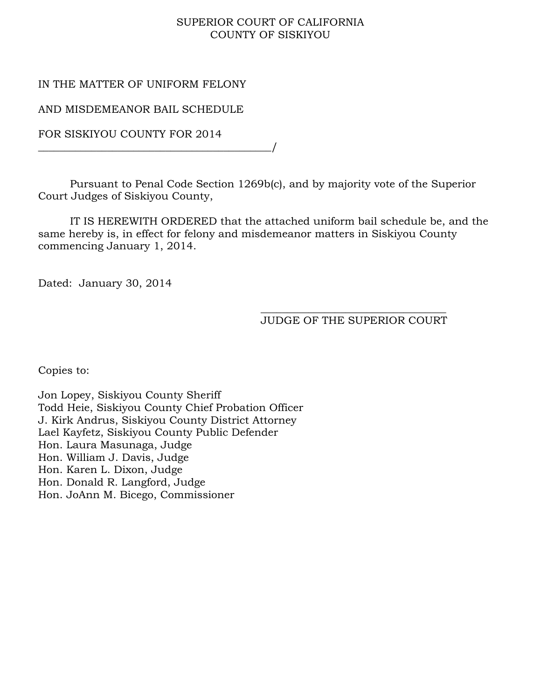## SUPERIOR COURT OF CALIFORNIA COUNTY OF SISKIYOU

IN THE MATTER OF UNIFORM FELONY

AND MISDEMEANOR BAIL SCHEDULE

FOR SISKIYOU COUNTY FOR 2014

\_\_\_\_\_\_\_\_\_\_\_\_\_\_\_\_\_\_\_\_\_\_\_\_\_\_\_\_\_\_\_\_\_\_\_\_\_\_\_\_\_\_\_\_/

Pursuant to Penal Code Section 1269b(c), and by majority vote of the Superior Court Judges of Siskiyou County,

IT IS HEREWITH ORDERED that the attached uniform bail schedule be, and the same hereby is, in effect for felony and misdemeanor matters in Siskiyou County commencing January 1, 2014.

Dated: January 30, 2014

\_\_\_\_\_\_\_\_\_\_\_\_\_\_\_\_\_\_\_\_\_\_\_\_\_\_\_\_\_\_\_\_\_\_\_ JUDGE OF THE SUPERIOR COURT

Copies to:

Jon Lopey, Siskiyou County Sheriff Todd Heie, Siskiyou County Chief Probation Officer J. Kirk Andrus, Siskiyou County District Attorney Lael Kayfetz, Siskiyou County Public Defender Hon. Laura Masunaga, Judge Hon. William J. Davis, Judge Hon. Karen L. Dixon, Judge Hon. Donald R. Langford, Judge Hon. JoAnn M. Bicego, Commissioner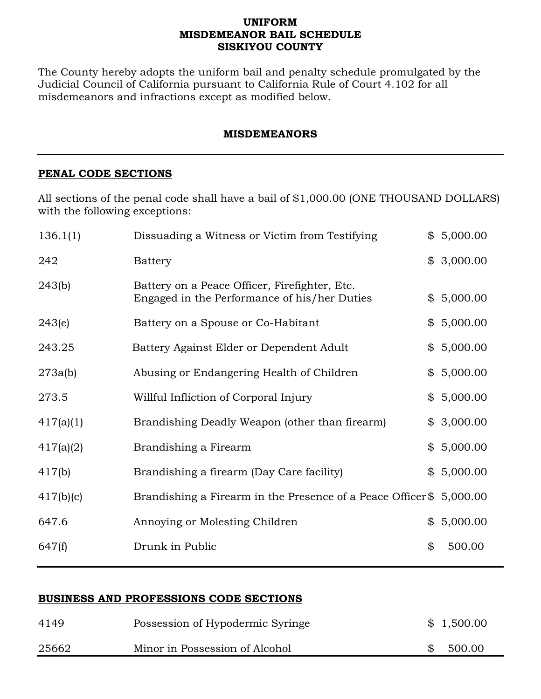## **UNIFORM MISDEMEANOR BAIL SCHEDULE SISKIYOU COUNTY**

The County hereby adopts the uniform bail and penalty schedule promulgated by the Judicial Council of California pursuant to California Rule of Court 4.102 for all misdemeanors and infractions except as modified below.

## **MISDEMEANORS**

### **PENAL CODE SECTIONS**

All sections of the penal code shall have a bail of \$1,000.00 (ONE THOUSAND DOLLARS) with the following exceptions:

| 136.1(1)  | Dissuading a Witness or Victim from Testifying                                                | \$5,000.00     |
|-----------|-----------------------------------------------------------------------------------------------|----------------|
| 242       | Battery                                                                                       | \$3,000.00     |
| 243(b)    | Battery on a Peace Officer, Firefighter, Etc.<br>Engaged in the Performance of his/her Duties | \$<br>5,000.00 |
| 243(e)    | Battery on a Spouse or Co-Habitant                                                            | \$<br>5,000.00 |
| 243.25    | Battery Against Elder or Dependent Adult                                                      | \$<br>5,000.00 |
| 273a(b)   | Abusing or Endangering Health of Children                                                     | \$<br>5,000.00 |
| 273.5     | Willful Infliction of Corporal Injury                                                         | \$<br>5,000.00 |
| 417(a)(1) | Brandishing Deadly Weapon (other than firearm)                                                | \$<br>3,000.00 |
| 417(a)(2) | Brandishing a Firearm                                                                         | \$<br>5,000.00 |
| 417(b)    | Brandishing a firearm (Day Care facility)                                                     | \$5,000.00     |
| 417(b)(c) | Brandishing a Firearm in the Presence of a Peace Officer \$ 5,000.00                          |                |
| 647.6     | Annoying or Molesting Children                                                                | \$<br>5,000.00 |
| 647(f)    | Drunk in Public                                                                               | \$<br>500.00   |

## **BUSINESS AND PROFESSIONS CODE SECTIONS**

| 4149  | Possession of Hypodermic Syringe | \$1,500.00 |
|-------|----------------------------------|------------|
| 25662 | Minor in Possession of Alcohol   | 500.00     |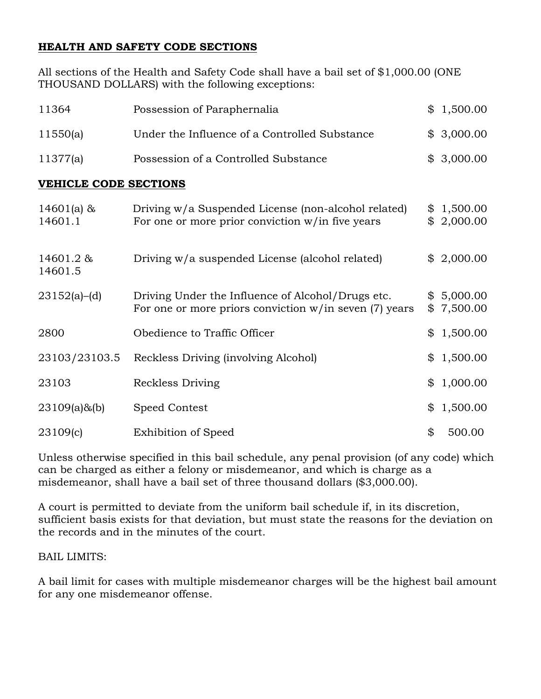## **HEALTH AND SAFETY CODE SECTIONS**

All sections of the Health and Safety Code shall have a bail set of \$1,000.00 (ONE THOUSAND DOLLARS) with the following exceptions:

| 11364                        | Possession of Paraphernalia                                                                                   | \$1,500.00               |
|------------------------------|---------------------------------------------------------------------------------------------------------------|--------------------------|
| 11550(a)                     | Under the Influence of a Controlled Substance                                                                 | \$3,000.00               |
| 11377(a)                     | Possession of a Controlled Substance                                                                          | \$3,000.00               |
| <b>VEHICLE CODE SECTIONS</b> |                                                                                                               |                          |
| 14601(a) $\&$<br>14601.1     | Driving w/a Suspended License (non-alcohol related)<br>For one or more prior conviction $w/in$ five years     | \$1,500.00<br>\$2,000.00 |
| 14601.2 &<br>14601.5         | Driving w/a suspended License (alcohol related)                                                               | \$2,000.00               |
| 23152(a)–(d)                 | Driving Under the Influence of Alcohol/Drugs etc.<br>For one or more priors conviction $w/in$ seven (7) years | \$5,000.00<br>\$7,500.00 |
| 2800                         | Obedience to Traffic Officer                                                                                  | \$1,500.00               |
| 23103/23103.5                | Reckless Driving (involving Alcohol)                                                                          | \$1,500.00               |
| 23103                        | Reckless Driving                                                                                              | \$1,000.00               |
| $23109(a)$ &(b)              | <b>Speed Contest</b>                                                                                          | \$<br>1,500.00           |
| 23109(c)                     | Exhibition of Speed                                                                                           | \$<br>500.00             |

Unless otherwise specified in this bail schedule, any penal provision (of any code) which can be charged as either a felony or misdemeanor, and which is charge as a misdemeanor, shall have a bail set of three thousand dollars (\$3,000.00).

A court is permitted to deviate from the uniform bail schedule if, in its discretion, sufficient basis exists for that deviation, but must state the reasons for the deviation on the records and in the minutes of the court.

### BAIL LIMITS:

A bail limit for cases with multiple misdemeanor charges will be the highest bail amount for any one misdemeanor offense.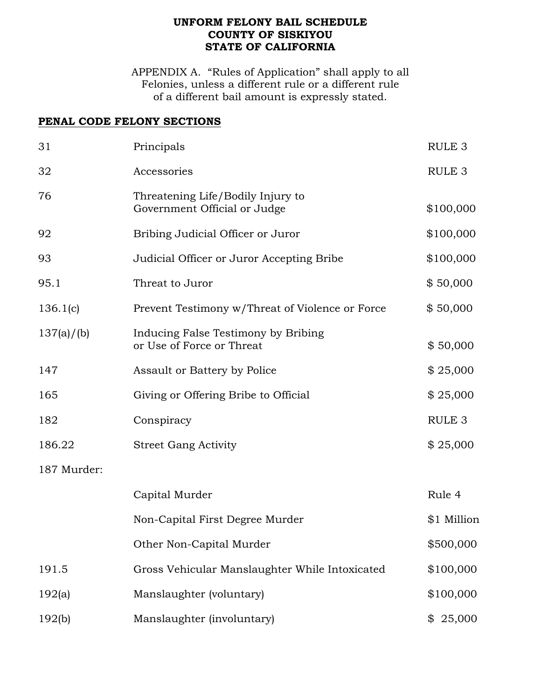## **UNFORM FELONY BAIL SCHEDULE COUNTY OF SISKIYOU STATE OF CALIFORNIA**

APPENDIX A. "Rules of Application" shall apply to all Felonies, unless a different rule or a different rule of a different bail amount is expressly stated.

## **PENAL CODE FELONY SECTIONS**

| 31          | Principals                                                        | RULE <sub>3</sub> |
|-------------|-------------------------------------------------------------------|-------------------|
| 32          | Accessories                                                       | RULE <sub>3</sub> |
| 76          | Threatening Life/Bodily Injury to<br>Government Official or Judge | \$100,000         |
| 92          | Bribing Judicial Officer or Juror                                 | \$100,000         |
| 93          | Judicial Officer or Juror Accepting Bribe                         | \$100,000         |
| 95.1        | Threat to Juror                                                   | \$50,000          |
| 136.1(c)    | Prevent Testimony w/Threat of Violence or Force                   | \$50,000          |
| 137(a)/(b)  | Inducing False Testimony by Bribing<br>or Use of Force or Threat  | \$50,000          |
| 147         | Assault or Battery by Police                                      | \$25,000          |
| 165         | Giving or Offering Bribe to Official                              | \$25,000          |
| 182         | Conspiracy                                                        | RULE <sub>3</sub> |
| 186.22      | <b>Street Gang Activity</b>                                       | \$25,000          |
| 187 Murder: |                                                                   |                   |
|             | Capital Murder                                                    | Rule 4            |
|             | Non-Capital First Degree Murder                                   | \$1 Million       |
|             | Other Non-Capital Murder                                          | \$500,000         |
| 191.5       | Gross Vehicular Manslaughter While Intoxicated                    | \$100,000         |
| 192(a)      | Manslaughter (voluntary)                                          | \$100,000         |
| 192(b)      | Manslaughter (involuntary)                                        | \$25,000          |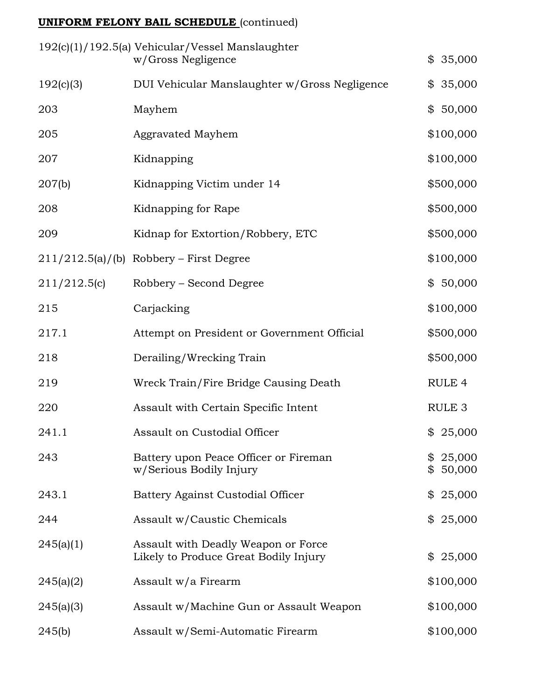|              | 192(c)(1)/192.5(a) Vehicular/Vessel Manslaughter<br>w/Gross Negligence       | \$35,000             |
|--------------|------------------------------------------------------------------------------|----------------------|
| 192(c)(3)    | DUI Vehicular Manslaughter w/Gross Negligence                                | 35,000<br>\$         |
| 203          | Mayhem                                                                       | \$50,000             |
| 205          | <b>Aggravated Mayhem</b>                                                     | \$100,000            |
| 207          | Kidnapping                                                                   | \$100,000            |
| 207(b)       | Kidnapping Victim under 14                                                   | \$500,000            |
| 208          | Kidnapping for Rape                                                          | \$500,000            |
| 209          | Kidnap for Extortion/Robbery, ETC                                            | \$500,000            |
|              | $211/212.5(a)/(b)$ Robbery – First Degree                                    | \$100,000            |
| 211/212.5(c) | Robbery – Second Degree                                                      | \$50,000             |
| 215          | Carjacking                                                                   | \$100,000            |
| 217.1        | Attempt on President or Government Official                                  | \$500,000            |
| 218          | Derailing/Wrecking Train                                                     | \$500,000            |
| 219          | Wreck Train/Fire Bridge Causing Death                                        | RULE 4               |
| 220          | Assault with Certain Specific Intent                                         | RULE <sub>3</sub>    |
| 241.1        | Assault on Custodial Officer                                                 | \$25,000             |
| 243          | Battery upon Peace Officer or Fireman<br>w/Serious Bodily Injury             | \$25,000<br>\$50,000 |
| 243.1        | Battery Against Custodial Officer                                            | 25,000<br>\$         |
| 244          | Assault w/Caustic Chemicals                                                  | 25,000<br>\$         |
| 245(a)(1)    | Assault with Deadly Weapon or Force<br>Likely to Produce Great Bodily Injury | 25,000<br>\$         |
| 245(a)(2)    | Assault w/a Firearm                                                          | \$100,000            |
| 245(a)(3)    | Assault w/Machine Gun or Assault Weapon                                      | \$100,000            |
| 245(b)       | Assault w/Semi-Automatic Firearm                                             | \$100,000            |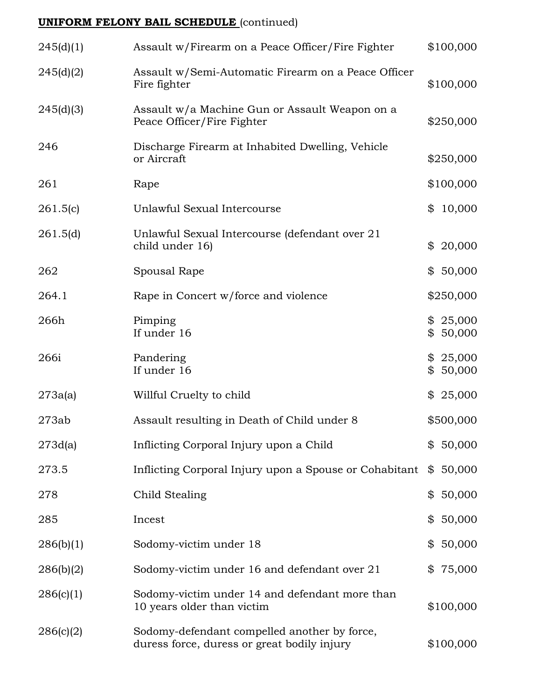| 245(d)(1) | Assault w/Firearm on a Peace Officer/Fire Fighter                                           | \$100,000                |
|-----------|---------------------------------------------------------------------------------------------|--------------------------|
| 245(d)(2) | Assault w/Semi-Automatic Firearm on a Peace Officer<br>Fire fighter                         | \$100,000                |
| 245(d)(3) | Assault w/a Machine Gun or Assault Weapon on a<br>Peace Officer/Fire Fighter                | \$250,000                |
| 246       | Discharge Firearm at Inhabited Dwelling, Vehicle<br>or Aircraft                             | \$250,000                |
| 261       | Rape                                                                                        | \$100,000                |
| 261.5(c)  | Unlawful Sexual Intercourse                                                                 | \$<br>10,000             |
| 261.5(d)  | Unlawful Sexual Intercourse (defendant over 21<br>child under 16)                           | \$<br>20,000             |
| 262       | Spousal Rape                                                                                | \$<br>50,000             |
| 264.1     | Rape in Concert w/force and violence                                                        | \$250,000                |
| 266h      | Pimping<br>If under 16                                                                      | \$<br>\$25,000<br>50,000 |
| 266i      | Pandering<br>If under 16                                                                    | \$25,000<br>\$50,000     |
| 273a(a)   | Willful Cruelty to child                                                                    | \$25,000                 |
| 273ab     | Assault resulting in Death of Child under 8                                                 | \$500,000                |
| 273d(a)   | Inflicting Corporal Injury upon a Child                                                     | \$<br>50,000             |
| 273.5     | Inflicting Corporal Injury upon a Spouse or Cohabitant                                      | \$<br>50,000             |
| 278       | Child Stealing                                                                              | \$<br>50,000             |
| 285       | Incest                                                                                      | \$<br>50,000             |
| 286(b)(1) | Sodomy-victim under 18                                                                      | \$<br>50,000             |
| 286(b)(2) | Sodomy-victim under 16 and defendant over 21                                                | \$<br>75,000             |
| 286(c)(1) | Sodomy-victim under 14 and defendant more than<br>10 years older than victim                | \$100,000                |
| 286(c)(2) | Sodomy-defendant compelled another by force,<br>duress force, duress or great bodily injury | \$100,000                |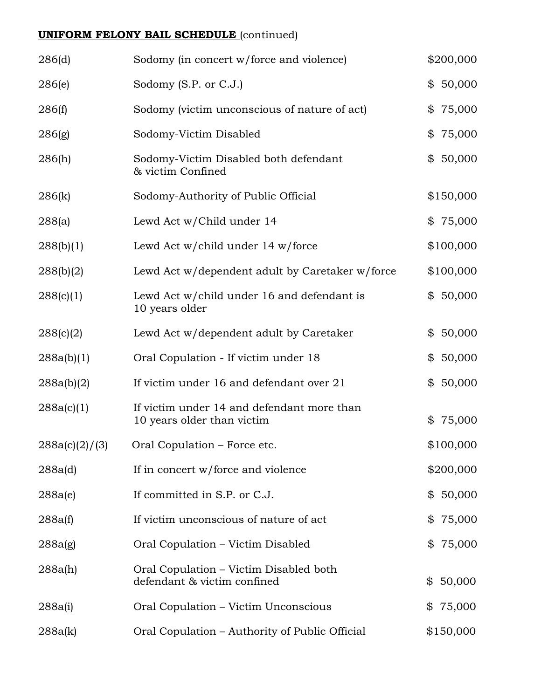| 286(d)         | Sodomy (in concert w/force and violence)                                 | \$200,000    |
|----------------|--------------------------------------------------------------------------|--------------|
| 286(e)         | Sodomy (S.P. or C.J.)                                                    | \$50,000     |
| 286(f)         | Sodomy (victim unconscious of nature of act)                             | 75,000<br>\$ |
| 286(g)         | Sodomy-Victim Disabled                                                   | 75,000<br>\$ |
| 286(h)         | Sodomy-Victim Disabled both defendant<br>& victim Confined               | 50,000<br>\$ |
| 286(k)         | Sodomy-Authority of Public Official                                      | \$150,000    |
| 288(a)         | Lewd Act w/Child under 14                                                | \$75,000     |
| 288(b)(1)      | Lewd Act w/child under 14 w/force                                        | \$100,000    |
| 288(b)(2)      | Lewd Act w/dependent adult by Caretaker w/force                          | \$100,000    |
| 288(c)(1)      | Lewd Act w/child under 16 and defendant is<br>10 years older             | \$50,000     |
| 288(c)(2)      | Lewd Act w/dependent adult by Caretaker                                  | 50,000<br>\$ |
| 288a(b)(1)     | Oral Copulation - If victim under 18                                     | 50,000<br>\$ |
| 288a(b)(2)     | If victim under 16 and defendant over 21                                 | 50,000<br>\$ |
| 288a(c)(1)     | If victim under 14 and defendant more than<br>10 years older than victim | 75,000<br>\$ |
| 288a(c)(2)/(3) | Oral Copulation – Force etc.                                             | \$100,000    |
| 288a(d)        | If in concert w/force and violence                                       | \$200,000    |
| 288a(e)        | If committed in S.P. or C.J.                                             | \$50,000     |
| 288a(f)        | If victim unconscious of nature of act                                   | 75,000<br>\$ |
| 288a(g)        | Oral Copulation – Victim Disabled                                        | \$75,000     |
| 288a(h)        | Oral Copulation - Victim Disabled both<br>defendant & victim confined    | \$50,000     |
| 288a(i)        | Oral Copulation – Victim Unconscious                                     | \$75,000     |
| 288a(k)        | Oral Copulation - Authority of Public Official                           | \$150,000    |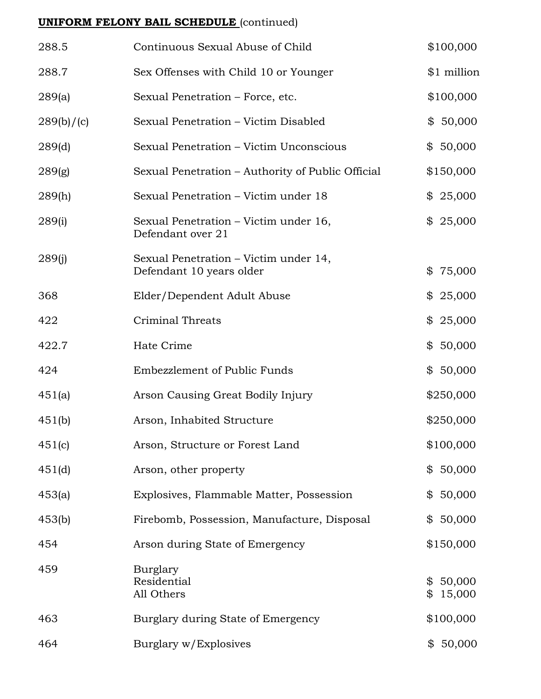| 288.5      | Continuous Sexual Abuse of Child                                  | \$100,000            |
|------------|-------------------------------------------------------------------|----------------------|
| 288.7      | Sex Offenses with Child 10 or Younger                             | \$1 million          |
| 289(a)     | Sexual Penetration – Force, etc.                                  | \$100,000            |
| 289(b)/(c) | Sexual Penetration – Victim Disabled                              | \$50,000             |
| 289(d)     | Sexual Penetration - Victim Unconscious                           | \$50,000             |
| 289(g)     | Sexual Penetration – Authority of Public Official                 | \$150,000            |
| 289(h)     | Sexual Penetration – Victim under 18                              | \$25,000             |
| 289(i)     | Sexual Penetration - Victim under 16,<br>Defendant over 21        | \$25,000             |
| 289(j)     | Sexual Penetration - Victim under 14,<br>Defendant 10 years older | \$75,000             |
| 368        | Elder/Dependent Adult Abuse                                       | \$25,000             |
| 422        | Criminal Threats                                                  | \$25,000             |
| 422.7      | Hate Crime                                                        | \$50,000             |
| 424        | Embezzlement of Public Funds                                      | \$50,000             |
| 451(a)     | Arson Causing Great Bodily Injury                                 | \$250,000            |
| 451(b)     | Arson, Inhabited Structure                                        | \$250,000            |
| 451(c)     | Arson, Structure or Forest Land                                   | \$100,000            |
| 451(d)     | Arson, other property                                             | \$50,000             |
| 453(a)     | Explosives, Flammable Matter, Possession                          | \$50,000             |
| 453(b)     | Firebomb, Possession, Manufacture, Disposal                       | \$50,000             |
| 454        | Arson during State of Emergency                                   | \$150,000            |
| 459        | Burglary<br>Residential<br>All Others                             | \$50,000<br>\$15,000 |
| 463        | Burglary during State of Emergency                                | \$100,000            |
| 464        | Burglary w/Explosives                                             | \$50,000             |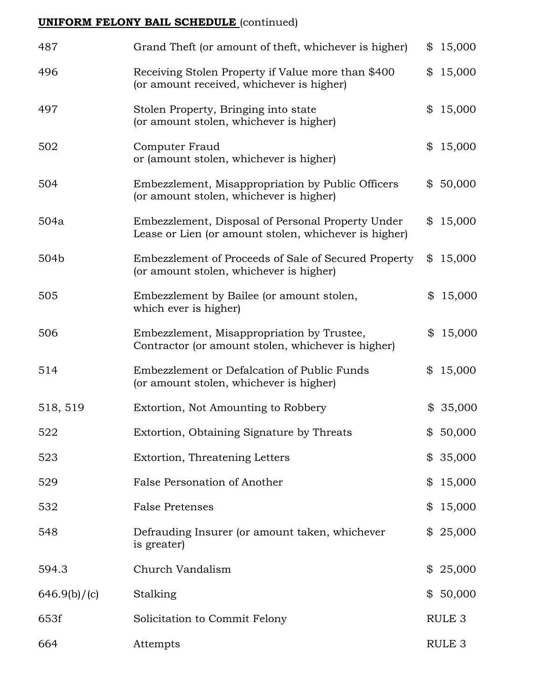| 487          | Grand Theft (or amount of theft, whichever is higher)                                                      | \$<br>15,000      |
|--------------|------------------------------------------------------------------------------------------------------------|-------------------|
| 496          | Receiving Stolen Property if Value more than \$400<br>(or amount received, whichever is higher)            | \$<br>15,000      |
| 497          | Stolen Property, Bringing into state<br>(or amount stolen, whichever is higher)                            | \$<br>15,000      |
| 502          | Computer Fraud<br>or (amount stolen, whichever is higher)                                                  | \$<br>15,000      |
| 504          | Embezzlement, Misappropriation by Public Officers<br>(or amount stolen, whichever is higher)               | \$50,000          |
| 504a         | Embezzlement, Disposal of Personal Property Under<br>Lease or Lien (or amount stolen, whichever is higher) | \$<br>15,000      |
| 504b         | Embezzlement of Proceeds of Sale of Secured Property<br>(or amount stolen, whichever is higher)            | \$<br>15,000      |
| 505          | Embezzlement by Bailee (or amount stolen,<br>which ever is higher)                                         | \$<br>15,000      |
| 506          | Embezzlement, Misappropriation by Trustee,<br>Contractor (or amount stolen, whichever is higher)           | \$<br>15,000      |
| 514          | Embezzlement or Defalcation of Public Funds<br>(or amount stolen, whichever is higher)                     | \$<br>15,000      |
| 518, 519     | Extortion, Not Amounting to Robbery                                                                        | \$<br>35,000      |
| 522          | Extortion, Obtaining Signature by Threats                                                                  | \$50,000          |
| 523          | Extortion, Threatening Letters                                                                             | \$35,000          |
| 529          | False Personation of Another                                                                               | \$<br>15,000      |
| 532          | <b>False Pretenses</b>                                                                                     | \$<br>15,000      |
| 548          | Defrauding Insurer (or amount taken, whichever<br>is greater)                                              | \$25,000          |
| 594.3        | Church Vandalism                                                                                           | \$<br>25,000      |
| 646.9(b)/(c) | Stalking                                                                                                   | \$50,000          |
| 653f         | Solicitation to Commit Felony                                                                              | RULE <sub>3</sub> |
| 664          | Attempts                                                                                                   | RULE <sub>3</sub> |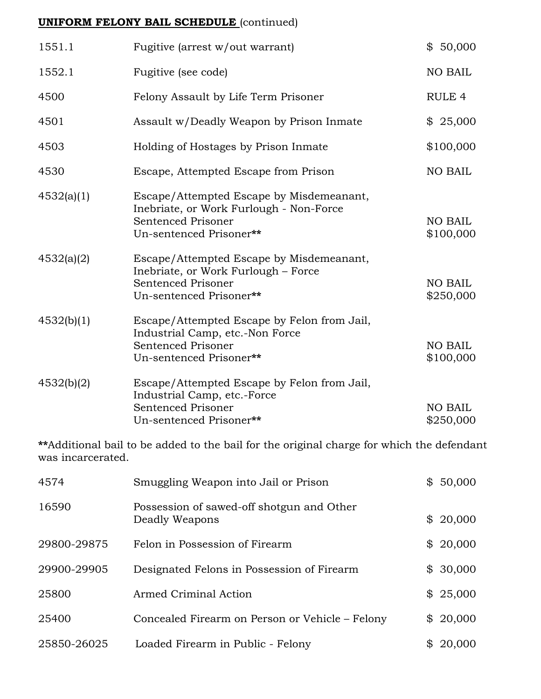| 1551.1     | Fugitive (arrest w/out warrant)                                                                                                             | \$50,000                    |
|------------|---------------------------------------------------------------------------------------------------------------------------------------------|-----------------------------|
| 1552.1     | Fugitive (see code)                                                                                                                         | <b>NO BAIL</b>              |
| 4500       | Felony Assault by Life Term Prisoner                                                                                                        | RULE <sub>4</sub>           |
| 4501       | Assault w/Deadly Weapon by Prison Inmate                                                                                                    | \$25,000                    |
| 4503       | Holding of Hostages by Prison Inmate                                                                                                        | \$100,000                   |
| 4530       | Escape, Attempted Escape from Prison                                                                                                        | <b>NO BAIL</b>              |
| 4532(a)(1) | Escape/Attempted Escape by Misdemeanant,<br>Inebriate, or Work Furlough - Non-Force<br><b>Sentenced Prisoner</b><br>Un-sentenced Prisoner** | <b>NO BAIL</b><br>\$100,000 |
| 4532(a)(2) | Escape/Attempted Escape by Misdemeanant,<br>Inebriate, or Work Furlough – Force<br><b>Sentenced Prisoner</b><br>Un-sentenced Prisoner**     | NO BAIL<br>\$250,000        |
| 4532(b)(1) | Escape/Attempted Escape by Felon from Jail,<br>Industrial Camp, etc.-Non Force<br>Sentenced Prisoner<br>Un-sentenced Prisoner**             | NO BAIL<br>\$100,000        |
| 4532(b)(2) | Escape/Attempted Escape by Felon from Jail,<br>Industrial Camp, etc.-Force<br>Sentenced Prisoner<br>Un-sentenced Prisoner**                 | NO BAIL<br>\$250,000        |

**\*\***Additional bail to be added to the bail for the original charge for which the defendant was incarcerated.

| 4574        | Smuggling Weapon into Jail or Prison                        | $\mathbb S$ | 50,000   |
|-------------|-------------------------------------------------------------|-------------|----------|
| 16590       | Possession of sawed-off shotgun and Other<br>Deadly Weapons | \$          | 20,000   |
| 29800-29875 | Felon in Possession of Firearm                              |             | \$20,000 |
| 29900-29905 | Designated Felons in Possession of Firearm                  | \$          | 30,000   |
| 25800       | Armed Criminal Action                                       |             | \$25,000 |
| 25400       | Concealed Firearm on Person or Vehicle - Felony             |             | \$20,000 |
| 25850-26025 | Loaded Firearm in Public - Felony                           | \$          | 20,000   |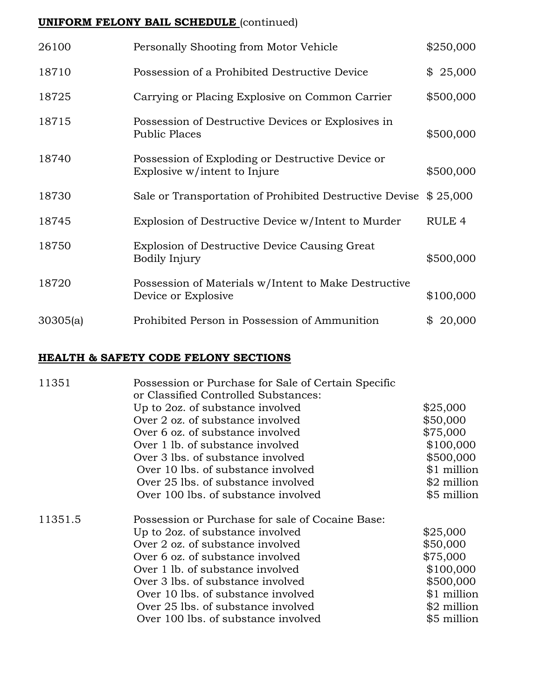| 26100    | Personally Shooting from Motor Vehicle                                           | \$250,000         |
|----------|----------------------------------------------------------------------------------|-------------------|
| 18710    | Possession of a Prohibited Destructive Device                                    | \$25,000          |
| 18725    | Carrying or Placing Explosive on Common Carrier                                  | \$500,000         |
| 18715    | Possession of Destructive Devices or Explosives in<br><b>Public Places</b>       | \$500,000         |
| 18740    | Possession of Exploding or Destructive Device or<br>Explosive w/intent to Injure | \$500,000         |
| 18730    | Sale or Transportation of Prohibited Destructive Devise                          | \$25,000          |
| 18745    | Explosion of Destructive Device w/Intent to Murder                               | RULE <sub>4</sub> |
| 18750    | Explosion of Destructive Device Causing Great<br>Bodily Injury                   | \$500,000         |
| 18720    | Possession of Materials w/Intent to Make Destructive<br>Device or Explosive      | \$100,000         |
| 30305(a) | Prohibited Person in Possession of Ammunition                                    | 20,000<br>\$      |

## **HEALTH & SAFETY CODE FELONY SECTIONS**

| 11351   | Possession or Purchase for Sale of Certain Specific<br>or Classified Controlled Substances: |             |
|---------|---------------------------------------------------------------------------------------------|-------------|
|         | Up to 2oz. of substance involved                                                            | \$25,000    |
|         | Over 2 oz. of substance involved                                                            | \$50,000    |
|         | Over 6 oz. of substance involved                                                            | \$75,000    |
|         | Over 1 lb. of substance involved                                                            | \$100,000   |
|         | Over 3 lbs. of substance involved                                                           | \$500,000   |
|         | Over 10 lbs. of substance involved                                                          | \$1 million |
|         | Over 25 lbs. of substance involved                                                          | \$2 million |
|         | Over 100 lbs. of substance involved                                                         | \$5 million |
| 11351.5 | Possession or Purchase for sale of Cocaine Base:                                            |             |
|         | Up to 2oz. of substance involved                                                            | \$25,000    |
|         | Over 2 oz. of substance involved                                                            | \$50,000    |
|         | Over 6 oz. of substance involved                                                            | \$75,000    |
|         | Over 1 lb. of substance involved                                                            | \$100,000   |
|         | Over 3 lbs. of substance involved                                                           | \$500,000   |
|         | Over 10 lbs. of substance involved                                                          | \$1 million |
|         | Over 25 lbs. of substance involved                                                          | \$2 million |
|         | Over 100 lbs. of substance involved                                                         | \$5 million |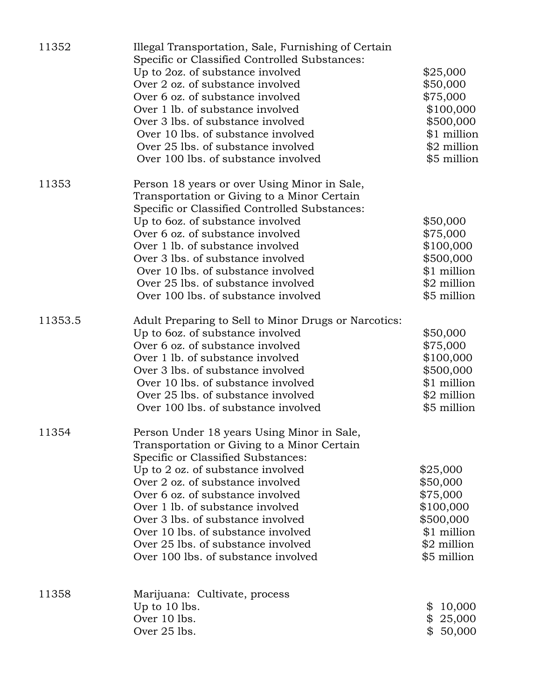| 11352   | Illegal Transportation, Sale, Furnishing of Certain<br>Specific or Classified Controlled Substances:<br>Up to 2oz. of substance involved<br>Over 2 oz. of substance involved<br>Over 6 oz. of substance involved<br>Over 1 lb. of substance involved<br>Over 3 lbs. of substance involved<br>Over 10 lbs. of substance involved<br>Over 25 lbs. of substance involved<br>Over 100 lbs. of substance involved                             | \$25,000<br>\$50,000<br>\$75,000<br>\$100,000<br>\$500,000<br>\$1 million<br>\$2 million<br>\$5 million |
|---------|------------------------------------------------------------------------------------------------------------------------------------------------------------------------------------------------------------------------------------------------------------------------------------------------------------------------------------------------------------------------------------------------------------------------------------------|---------------------------------------------------------------------------------------------------------|
| 11353   | Person 18 years or over Using Minor in Sale,<br>Transportation or Giving to a Minor Certain<br>Specific or Classified Controlled Substances:<br>Up to 6oz. of substance involved<br>Over 6 oz. of substance involved<br>Over 1 lb. of substance involved<br>Over 3 lbs. of substance involved<br>Over 10 lbs. of substance involved<br>Over 25 lbs. of substance involved<br>Over 100 lbs. of substance involved                         | \$50,000<br>\$75,000<br>\$100,000<br>\$500,000<br>\$1 million<br>\$2 million<br>\$5 million             |
| 11353.5 | Adult Preparing to Sell to Minor Drugs or Narcotics:<br>Up to 6oz. of substance involved<br>Over 6 oz. of substance involved<br>Over 1 lb. of substance involved<br>Over 3 lbs. of substance involved<br>Over 10 lbs. of substance involved<br>Over 25 lbs. of substance involved<br>Over 100 lbs. of substance involved                                                                                                                 | \$50,000<br>\$75,000<br>\$100,000<br>\$500,000<br>\$1 million<br>\$2 million<br>\$5 million             |
| 11354   | Person Under 18 years Using Minor in Sale,<br>Transportation or Giving to a Minor Certain<br>Specific or Classified Substances:<br>Up to 2 oz. of substance involved<br>Over 2 oz. of substance involved<br>Over 6 oz. of substance involved<br>Over 1 lb. of substance involved<br>Over 3 lbs. of substance involved<br>Over 10 lbs. of substance involved<br>Over 25 lbs. of substance involved<br>Over 100 lbs. of substance involved | \$25,000<br>\$50,000<br>\$75,000<br>\$100,000<br>\$500,000<br>\$1 million<br>\$2 million<br>\$5 million |
| 11358   | Marijuana: Cultivate, process<br>Up to 10 lbs.<br>Over 10 lbs.<br>Over 25 lbs.                                                                                                                                                                                                                                                                                                                                                           | \$10,000<br>\$25,000<br>\$50,000                                                                        |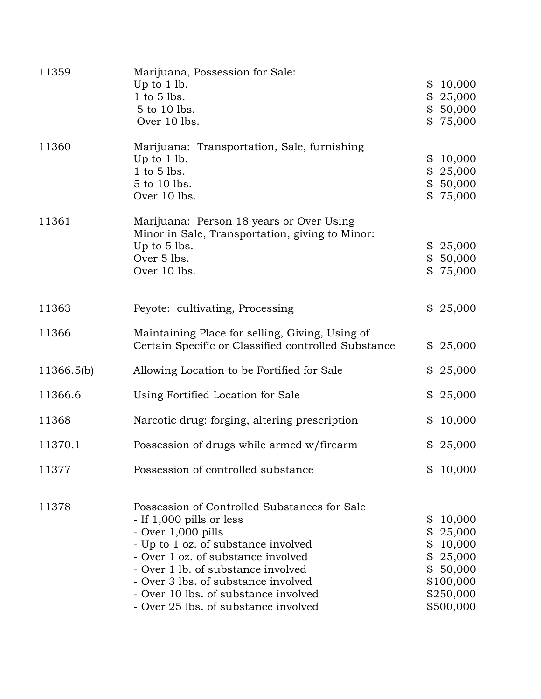| 11359      | Marijuana, Possession for Sale:<br>Up to $1$ lb.<br>$1$ to $5$ lbs.<br>5 to 10 lbs.<br>Over 10 lbs.                                                                                                                                                                                                                                        | \$10,000<br>\$25,000<br>\$50,000<br>\$75,000                                                                |
|------------|--------------------------------------------------------------------------------------------------------------------------------------------------------------------------------------------------------------------------------------------------------------------------------------------------------------------------------------------|-------------------------------------------------------------------------------------------------------------|
| 11360      | Marijuana: Transportation, Sale, furnishing<br>Up to 1 lb.<br>$1$ to $5$ lbs.<br>5 to 10 lbs.<br>Over 10 lbs.                                                                                                                                                                                                                              | \$10,000<br>\$25,000<br>\$50,000<br>\$75,000                                                                |
| 11361      | Marijuana: Person 18 years or Over Using<br>Minor in Sale, Transportation, giving to Minor:<br>Up to 5 lbs.<br>Over 5 lbs.<br>Over 10 lbs.                                                                                                                                                                                                 | \$25,000<br>\$50,000<br>\$75,000                                                                            |
| 11363      | Peyote: cultivating, Processing                                                                                                                                                                                                                                                                                                            | \$25,000                                                                                                    |
| 11366      | Maintaining Place for selling, Giving, Using of<br>Certain Specific or Classified controlled Substance                                                                                                                                                                                                                                     | \$25,000                                                                                                    |
| 11366.5(b) | Allowing Location to be Fortified for Sale                                                                                                                                                                                                                                                                                                 | \$25,000                                                                                                    |
| 11366.6    | Using Fortified Location for Sale                                                                                                                                                                                                                                                                                                          | \$25,000                                                                                                    |
| 11368      | Narcotic drug: forging, altering prescription                                                                                                                                                                                                                                                                                              | 10,000<br>\$                                                                                                |
| 11370.1    | Possession of drugs while armed w/firearm                                                                                                                                                                                                                                                                                                  | \$25,000                                                                                                    |
| 11377      | Possession of controlled substance                                                                                                                                                                                                                                                                                                         | 10,000<br>\$                                                                                                |
| 11378      | Possession of Controlled Substances for Sale<br>- If 1,000 pills or less<br>$-$ Over 1,000 pills<br>- Up to 1 oz. of substance involved<br>- Over 1 oz. of substance involved<br>- Over 1 lb. of substance involved<br>- Over 3 lbs. of substance involved<br>- Over 10 lbs. of substance involved<br>- Over 25 lbs. of substance involved | 10,000<br>\$<br>25,000<br>\$<br>\$10,000<br>\$25,000<br>\$<br>50,000<br>\$100,000<br>\$250,000<br>\$500,000 |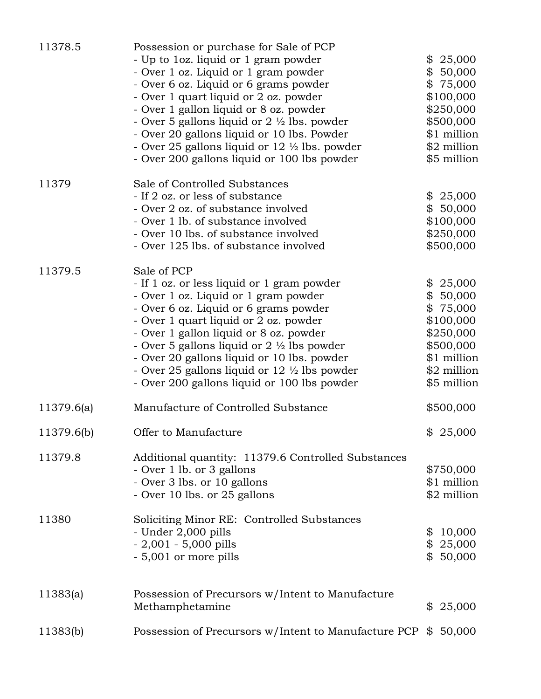| 11378.5    | Possession or purchase for Sale of PCP                   |              |
|------------|----------------------------------------------------------|--------------|
|            | - Up to loz. liquid or 1 gram powder                     | \$25,000     |
|            | - Over 1 oz. Liquid or 1 gram powder                     | \$50,000     |
|            | - Over 6 oz. Liquid or 6 grams powder                    | \$75,000     |
|            | - Over 1 quart liquid or 2 oz. powder                    | \$100,000    |
|            | - Over 1 gallon liquid or 8 oz. powder                   | \$250,000    |
|            | - Over 5 gallons liquid or 2 1/2 lbs. powder             | \$500,000    |
|            | - Over 20 gallons liquid or 10 lbs. Powder               | \$1 million  |
|            | - Over 25 gallons liquid or $12 \frac{1}{2}$ lbs. powder | \$2 million  |
|            | - Over 200 gallons liquid or 100 lbs powder              | \$5 million  |
| 11379      | Sale of Controlled Substances                            |              |
|            | - If 2 oz. or less of substance                          | \$25,000     |
|            | - Over 2 oz. of substance involved                       | \$50,000     |
|            | - Over 1 lb. of substance involved                       | \$100,000    |
|            | - Over 10 lbs. of substance involved                     | \$250,000    |
|            | - Over 125 lbs. of substance involved                    | \$500,000    |
| 11379.5    | Sale of PCP                                              |              |
|            | - If 1 oz. or less liquid or 1 gram powder               | \$25,000     |
|            | - Over 1 oz. Liquid or 1 gram powder                     | \$50,000     |
|            | - Over 6 oz. Liquid or 6 grams powder                    | \$75,000     |
|            | - Over 1 quart liquid or 2 oz. powder                    | \$100,000    |
|            | - Over 1 gallon liquid or 8 oz. powder                   | \$250,000    |
|            | - Over 5 gallons liquid or $2 \frac{1}{2}$ lbs powder    | \$500,000    |
|            | - Over 20 gallons liquid or 10 lbs. powder               | \$1 million  |
|            | - Over 25 gallons liquid or $12 \frac{1}{2}$ lbs powder  | \$2 million  |
|            | - Over 200 gallons liquid or 100 lbs powder              | \$5 million  |
|            |                                                          |              |
| 11379.6(a) | Manufacture of Controlled Substance                      | \$500,000    |
| 11379.6(b) | Offer to Manufacture                                     | \$25,000     |
| 11379.8    | Additional quantity: 11379.6 Controlled Substances       |              |
|            | - Over 1 lb. or 3 gallons                                | \$750,000    |
|            | - Over 3 lbs. or 10 gallons                              | \$1 million  |
|            | - Over 10 lbs. or 25 gallons                             | \$2 million  |
| 11380      | Soliciting Minor RE: Controlled Substances               |              |
|            | - Under 2,000 pills                                      | 10,000<br>\$ |
|            | $-2,001 - 5,000$ pills                                   | 25,000<br>\$ |
|            | - 5,001 or more pills                                    | \$<br>50,000 |
|            |                                                          |              |
| 11383(a)   | Possession of Precursors w/Intent to Manufacture         |              |
|            | Methamphetamine                                          | 25,000<br>\$ |
| 11383(b)   | Possession of Precursors w/Intent to Manufacture PCP     | 50,000<br>\$ |
|            |                                                          |              |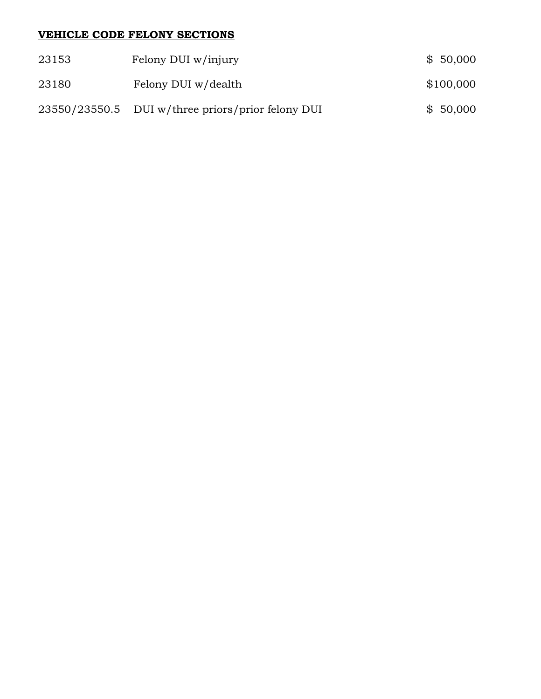## **VEHICLE CODE FELONY SECTIONS**

| 23153 | Felony DUI w/injury                               | \$50,000  |
|-------|---------------------------------------------------|-----------|
| 23180 | Felony DUI w/dealth                               | \$100,000 |
|       | 23550/23550.5 DUI w/three priors/prior felony DUI | \$50,000  |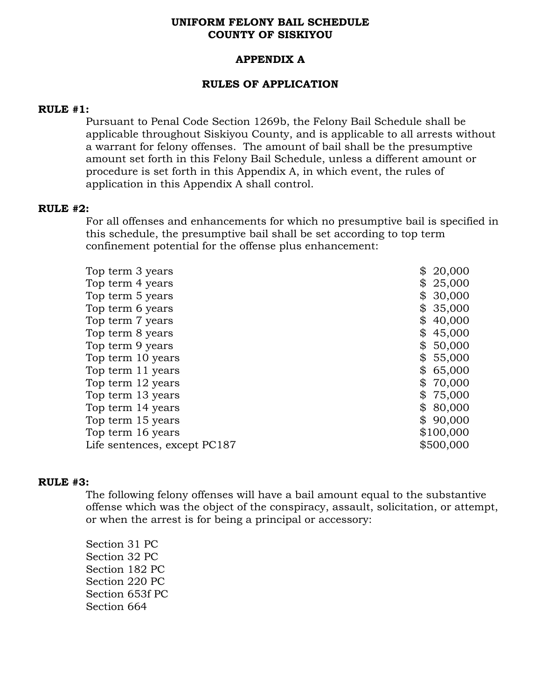### **UNIFORM FELONY BAIL SCHEDULE COUNTY OF SISKIYOU**

## **APPENDIX A**

## **RULES OF APPLICATION**

#### **RULE #1:**

Pursuant to Penal Code Section 1269b, the Felony Bail Schedule shall be applicable throughout Siskiyou County, and is applicable to all arrests without a warrant for felony offenses. The amount of bail shall be the presumptive amount set forth in this Felony Bail Schedule, unless a different amount or procedure is set forth in this Appendix A, in which event, the rules of application in this Appendix A shall control.

#### **RULE #2:**

For all offenses and enhancements for which no presumptive bail is specified in this schedule, the presumptive bail shall be set according to top term confinement potential for the offense plus enhancement:

| \$<br>Top term 3 years       | 20,000    |
|------------------------------|-----------|
| \$<br>Top term 4 years       | 25,000    |
| Top term 5 years             | 30,000    |
| \$<br>Top term 6 years       | 35,000    |
| Top term 7 years             | 40,000    |
| \$<br>Top term 8 years       | 45,000    |
| Top term 9 years<br>\$       | 50,000    |
| \$<br>Top term 10 years      | 55,000    |
| Top term 11 years            | 65,000    |
| \$<br>Top term 12 years      | 70,000    |
| Top term 13 years<br>\$      | 75,000    |
| \$<br>Top term 14 years      | 80,000    |
| \$<br>Top term 15 years      | 90,000    |
| Top term 16 years            | \$100,000 |
| Life sentences, except PC187 | \$500,000 |

#### **RULE #3:**

The following felony offenses will have a bail amount equal to the substantive offense which was the object of the conspiracy, assault, solicitation, or attempt, or when the arrest is for being a principal or accessory:

Section 31 PC Section 32 PC Section 182 PC Section 220 PC Section 653f PC Section 664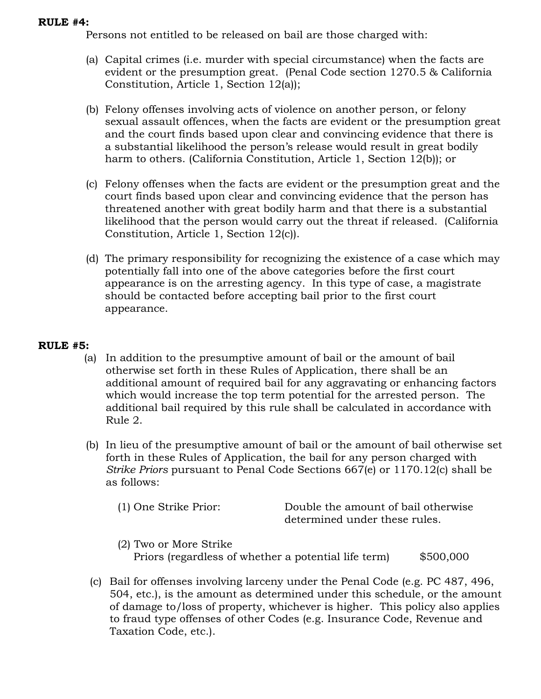## **RULE #4:**

Persons not entitled to be released on bail are those charged with:

- (a) Capital crimes (i.e. murder with special circumstance) when the facts are evident or the presumption great. (Penal Code section 1270.5 & California Constitution, Article 1, Section 12(a));
- (b) Felony offenses involving acts of violence on another person, or felony sexual assault offences, when the facts are evident or the presumption great and the court finds based upon clear and convincing evidence that there is a substantial likelihood the person's release would result in great bodily harm to others. (California Constitution, Article 1, Section 12(b)); or
- (c) Felony offenses when the facts are evident or the presumption great and the court finds based upon clear and convincing evidence that the person has threatened another with great bodily harm and that there is a substantial likelihood that the person would carry out the threat if released. (California Constitution, Article 1, Section 12(c)).
- (d) The primary responsibility for recognizing the existence of a case which may potentially fall into one of the above categories before the first court appearance is on the arresting agency. In this type of case, a magistrate should be contacted before accepting bail prior to the first court appearance.

## **RULE #5:**

- (a) In addition to the presumptive amount of bail or the amount of bail otherwise set forth in these Rules of Application, there shall be an additional amount of required bail for any aggravating or enhancing factors which would increase the top term potential for the arrested person. The additional bail required by this rule shall be calculated in accordance with Rule 2.
- (b) In lieu of the presumptive amount of bail or the amount of bail otherwise set forth in these Rules of Application, the bail for any person charged with *Strike Priors* pursuant to Penal Code Sections 667(e) or 1170.12(c) shall be as follows:

| (1) One Strike Prior: | Double the amount of bail otherwise |
|-----------------------|-------------------------------------|
|                       | determined under these rules.       |

(2) Two or More Strike Priors (regardless of whether a potential life term) \$500,000

(c) Bail for offenses involving larceny under the Penal Code (e.g. PC 487, 496, 504, etc.), is the amount as determined under this schedule, or the amount of damage to/loss of property, whichever is higher. This policy also applies to fraud type offenses of other Codes (e.g. Insurance Code, Revenue and Taxation Code, etc.).